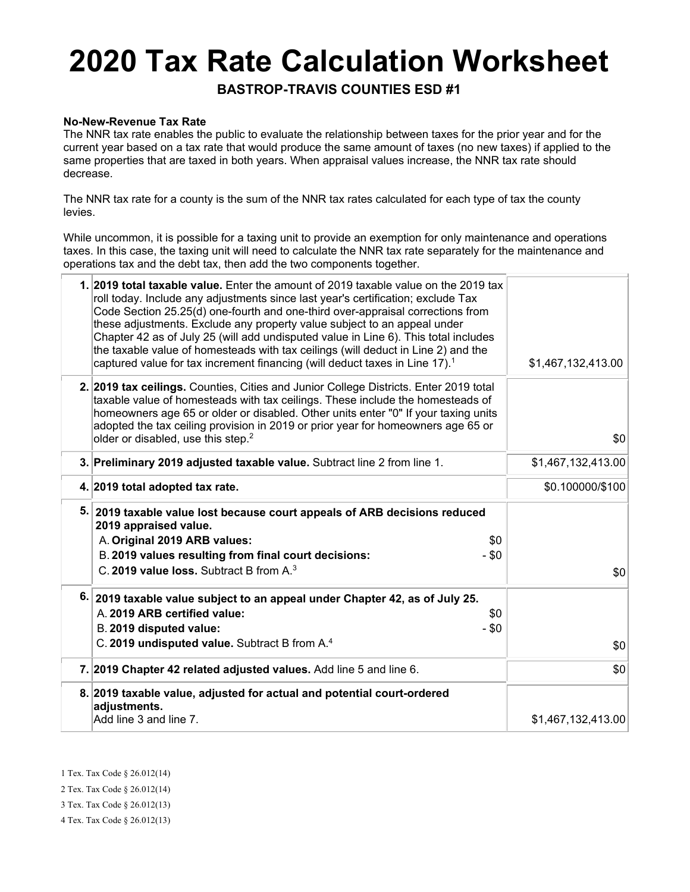# **2020 Tax Rate Calculation Worksheet**

**BASTROP-TRAVIS COUNTIES ESD #1**

#### **No-New-Revenue Tax Rate**

The NNR tax rate enables the public to evaluate the relationship between taxes for the prior year and for the current year based on a tax rate that would produce the same amount of taxes (no new taxes) if applied to the same properties that are taxed in both years. When appraisal values increase, the NNR tax rate should decrease.

The NNR tax rate for a county is the sum of the NNR tax rates calculated for each type of tax the county levies.

While uncommon, it is possible for a taxing unit to provide an exemption for only maintenance and operations taxes. In this case, the taxing unit will need to calculate the NNR tax rate separately for the maintenance and operations tax and the debt tax, then add the two components together.

| 1. 2019 total taxable value. Enter the amount of 2019 taxable value on the 2019 tax<br>roll today. Include any adjustments since last year's certification; exclude Tax<br>Code Section 25.25(d) one-fourth and one-third over-appraisal corrections from<br>these adjustments. Exclude any property value subject to an appeal under<br>Chapter 42 as of July 25 (will add undisputed value in Line 6). This total includes<br>the taxable value of homesteads with tax ceilings (will deduct in Line 2) and the<br>captured value for tax increment financing (will deduct taxes in Line 17). <sup>1</sup> | \$1,467,132,413.00    |
|--------------------------------------------------------------------------------------------------------------------------------------------------------------------------------------------------------------------------------------------------------------------------------------------------------------------------------------------------------------------------------------------------------------------------------------------------------------------------------------------------------------------------------------------------------------------------------------------------------------|-----------------------|
| 2. 2019 tax ceilings. Counties, Cities and Junior College Districts. Enter 2019 total<br>taxable value of homesteads with tax ceilings. These include the homesteads of<br>homeowners age 65 or older or disabled. Other units enter "0" If your taxing units<br>adopted the tax ceiling provision in 2019 or prior year for homeowners age 65 or<br>older or disabled, use this step. <sup>2</sup>                                                                                                                                                                                                          | \$0                   |
| 3. Preliminary 2019 adjusted taxable value. Subtract line 2 from line 1.                                                                                                                                                                                                                                                                                                                                                                                                                                                                                                                                     | \$1,467,132,413.00    |
| 4. 2019 total adopted tax rate.                                                                                                                                                                                                                                                                                                                                                                                                                                                                                                                                                                              | \$0.100000/\$100      |
| 5. 2019 taxable value lost because court appeals of ARB decisions reduced<br>2019 appraised value.<br>A. Original 2019 ARB values:<br>B. 2019 values resulting from final court decisions:<br>C. 2019 value loss. Subtract B from A. <sup>3</sup>                                                                                                                                                                                                                                                                                                                                                            | \$0<br>$-$ \$0<br>\$0 |
| 6. 2019 taxable value subject to an appeal under Chapter 42, as of July 25.<br>A. 2019 ARB certified value:<br>B. 2019 disputed value:<br>C. 2019 undisputed value. Subtract B from A. <sup>4</sup>                                                                                                                                                                                                                                                                                                                                                                                                          | \$0<br>$-$ \$0<br>\$0 |
| 7. 2019 Chapter 42 related adjusted values. Add line 5 and line 6.                                                                                                                                                                                                                                                                                                                                                                                                                                                                                                                                           | \$0                   |
| 8. 2019 taxable value, adjusted for actual and potential court-ordered<br>adjustments.<br>Add line 3 and line 7.                                                                                                                                                                                                                                                                                                                                                                                                                                                                                             | \$1,467,132,413.00    |

1 Tex. Tax Code § 26.012(14)

2 Tex. Tax Code § 26.012(14)

3 Tex. Tax Code § 26.012(13)

4 Tex. Tax Code § 26.012(13)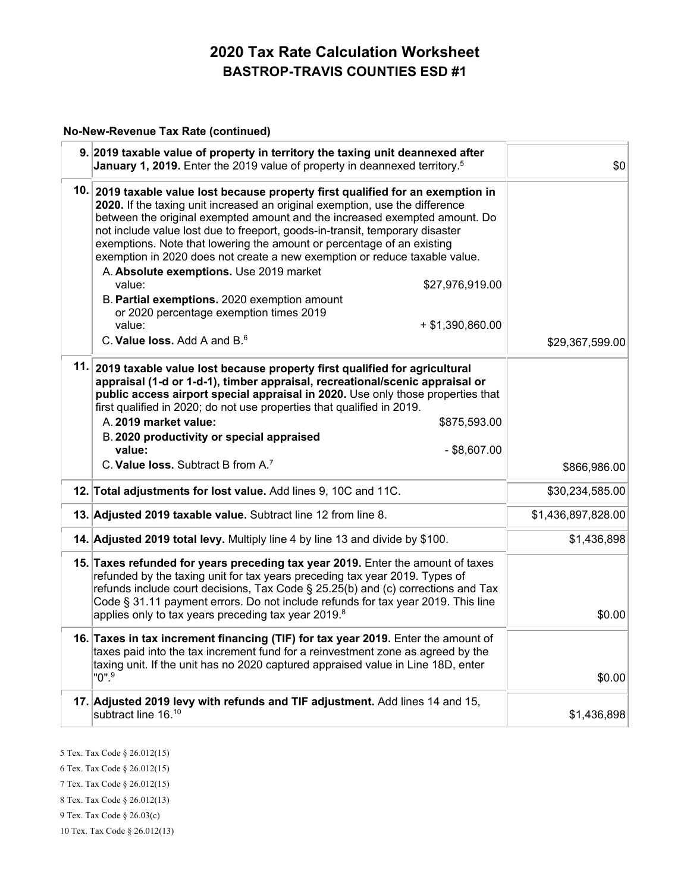#### **No-New-Revenue Tax Rate (continued)**

| 9. 2019 taxable value of property in territory the taxing unit deannexed after<br>January 1, 2019. Enter the 2019 value of property in deannexed territory. <sup>5</sup>                                                                                                                                                                                                                                                                                                                                                                                       | \$0                |
|----------------------------------------------------------------------------------------------------------------------------------------------------------------------------------------------------------------------------------------------------------------------------------------------------------------------------------------------------------------------------------------------------------------------------------------------------------------------------------------------------------------------------------------------------------------|--------------------|
| 10. 2019 taxable value lost because property first qualified for an exemption in<br>2020. If the taxing unit increased an original exemption, use the difference<br>between the original exempted amount and the increased exempted amount. Do<br>not include value lost due to freeport, goods-in-transit, temporary disaster<br>exemptions. Note that lowering the amount or percentage of an existing<br>exemption in 2020 does not create a new exemption or reduce taxable value.<br>A. Absolute exemptions. Use 2019 market<br>\$27,976,919.00<br>value: |                    |
| B. Partial exemptions. 2020 exemption amount<br>or 2020 percentage exemption times 2019                                                                                                                                                                                                                                                                                                                                                                                                                                                                        |                    |
| value:<br>$+$ \$1,390,860.00                                                                                                                                                                                                                                                                                                                                                                                                                                                                                                                                   |                    |
| C. Value loss, Add A and B. <sup>6</sup>                                                                                                                                                                                                                                                                                                                                                                                                                                                                                                                       | \$29,367,599.00    |
| 11. 2019 taxable value lost because property first qualified for agricultural<br>appraisal (1-d or 1-d-1), timber appraisal, recreational/scenic appraisal or<br>public access airport special appraisal in 2020. Use only those properties that<br>first qualified in 2020; do not use properties that qualified in 2019.<br>A. 2019 market value:<br>\$875,593.00<br>B. 2020 productivity or special appraised                                                                                                                                               |                    |
| $-$ \$8,607.00<br>value:<br>C. Value loss. Subtract B from A. <sup>7</sup>                                                                                                                                                                                                                                                                                                                                                                                                                                                                                     |                    |
|                                                                                                                                                                                                                                                                                                                                                                                                                                                                                                                                                                | \$866,986.00       |
| 12. Total adjustments for lost value. Add lines 9, 10C and 11C.                                                                                                                                                                                                                                                                                                                                                                                                                                                                                                | \$30,234,585.00    |
| 13. Adjusted 2019 taxable value. Subtract line 12 from line 8.                                                                                                                                                                                                                                                                                                                                                                                                                                                                                                 | \$1,436,897,828.00 |
| 14. Adjusted 2019 total levy. Multiply line 4 by line 13 and divide by \$100.                                                                                                                                                                                                                                                                                                                                                                                                                                                                                  | \$1,436,898        |
| 15. Taxes refunded for years preceding tax year 2019. Enter the amount of taxes<br>refunded by the taxing unit for tax years preceding tax year 2019. Types of<br>refunds include court decisions, Tax Code § 25.25(b) and (c) corrections and Tax<br>Code § 31.11 payment errors. Do not include refunds for tax year 2019. This line<br>applies only to tax years preceding tax year 2019.8                                                                                                                                                                  | \$0.00             |
| 16. Taxes in tax increment financing (TIF) for tax year 2019. Enter the amount of<br>taxes paid into the tax increment fund for a reinvestment zone as agreed by the<br>taxing unit. If the unit has no 2020 captured appraised value in Line 18D, enter<br>"0".9                                                                                                                                                                                                                                                                                              | \$0.00             |
| 17. Adjusted 2019 levy with refunds and TIF adjustment. Add lines 14 and 15,<br>subtract line 16.10                                                                                                                                                                                                                                                                                                                                                                                                                                                            | \$1,436,898        |

5 Tex. Tax Code § 26.012(15)

6 Tex. Tax Code § 26.012(15)

7 Tex. Tax Code § 26.012(15)

8 Tex. Tax Code § 26.012(13)

9 Tex. Tax Code § 26.03(c)

10 Tex. Tax Code § 26.012(13)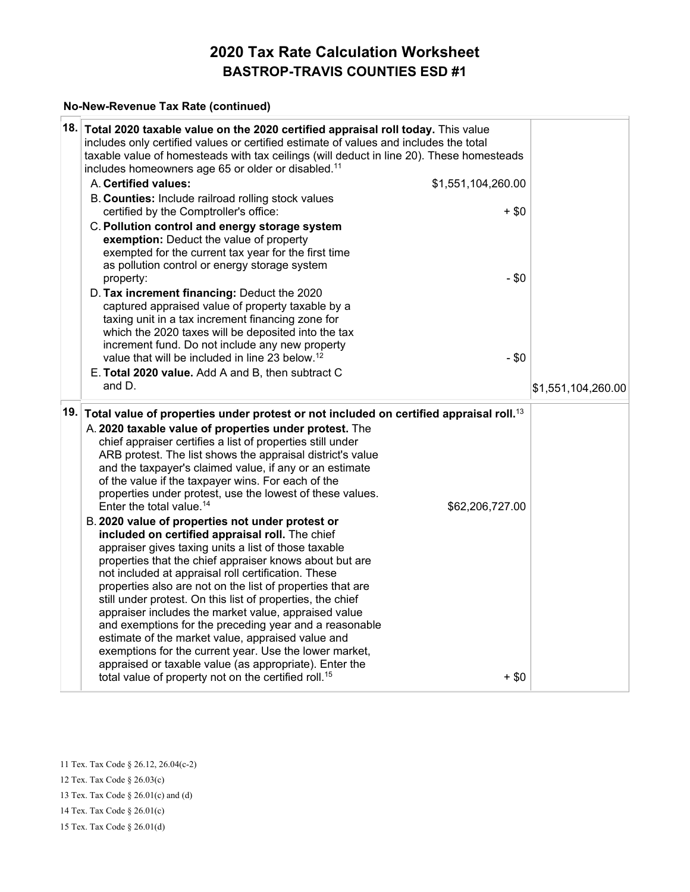#### **No-New-Revenue Tax Rate (continued)**

| 18.  | Total 2020 taxable value on the 2020 certified appraisal roll today. This value<br>includes only certified values or certified estimate of values and includes the total<br>taxable value of homesteads with tax ceilings (will deduct in line 20). These homesteads<br>includes homeowners age 65 or older or disabled. <sup>11</sup>                                                                                                                                                                                                                                                                                                                                                                                                                                   |                    |                    |
|------|--------------------------------------------------------------------------------------------------------------------------------------------------------------------------------------------------------------------------------------------------------------------------------------------------------------------------------------------------------------------------------------------------------------------------------------------------------------------------------------------------------------------------------------------------------------------------------------------------------------------------------------------------------------------------------------------------------------------------------------------------------------------------|--------------------|--------------------|
|      | A. Certified values:                                                                                                                                                                                                                                                                                                                                                                                                                                                                                                                                                                                                                                                                                                                                                     | \$1,551,104,260.00 |                    |
|      | B. Counties: Include railroad rolling stock values<br>certified by the Comptroller's office:                                                                                                                                                                                                                                                                                                                                                                                                                                                                                                                                                                                                                                                                             | $+$ \$0            |                    |
|      | C. Pollution control and energy storage system<br>exemption: Deduct the value of property<br>exempted for the current tax year for the first time<br>as pollution control or energy storage system<br>property:                                                                                                                                                                                                                                                                                                                                                                                                                                                                                                                                                          | $-$ \$0            |                    |
|      | D. Tax increment financing: Deduct the 2020<br>captured appraised value of property taxable by a<br>taxing unit in a tax increment financing zone for<br>which the 2020 taxes will be deposited into the tax                                                                                                                                                                                                                                                                                                                                                                                                                                                                                                                                                             |                    |                    |
|      | increment fund. Do not include any new property                                                                                                                                                                                                                                                                                                                                                                                                                                                                                                                                                                                                                                                                                                                          |                    |                    |
|      | value that will be included in line 23 below. <sup>12</sup>                                                                                                                                                                                                                                                                                                                                                                                                                                                                                                                                                                                                                                                                                                              | $-$ \$0            |                    |
|      | E. Total 2020 value. Add A and B, then subtract C                                                                                                                                                                                                                                                                                                                                                                                                                                                                                                                                                                                                                                                                                                                        |                    |                    |
|      | and D.                                                                                                                                                                                                                                                                                                                                                                                                                                                                                                                                                                                                                                                                                                                                                                   |                    | \$1,551,104,260.00 |
| 19.⊺ | Total value of properties under protest or not included on certified appraisal roll. <sup>13</sup>                                                                                                                                                                                                                                                                                                                                                                                                                                                                                                                                                                                                                                                                       |                    |                    |
|      | A. 2020 taxable value of properties under protest. The<br>chief appraiser certifies a list of properties still under<br>ARB protest. The list shows the appraisal district's value<br>and the taxpayer's claimed value, if any or an estimate<br>of the value if the taxpayer wins. For each of the<br>properties under protest, use the lowest of these values.<br>Enter the total value. <sup>14</sup>                                                                                                                                                                                                                                                                                                                                                                 | \$62,206,727.00    |                    |
|      | B. 2020 value of properties not under protest or<br>included on certified appraisal roll. The chief<br>appraiser gives taxing units a list of those taxable<br>properties that the chief appraiser knows about but are<br>not included at appraisal roll certification. These<br>properties also are not on the list of properties that are<br>still under protest. On this list of properties, the chief<br>appraiser includes the market value, appraised value<br>and exemptions for the preceding year and a reasonable<br>estimate of the market value, appraised value and<br>exemptions for the current year. Use the lower market,<br>appraised or taxable value (as appropriate). Enter the<br>total value of property not on the certified roll. <sup>15</sup> | $+$ \$0            |                    |

11 Tex. Tax Code § 26.12, 26.04(c-2) 12 Tex. Tax Code § 26.03(c) 13 Tex. Tax Code § 26.01(c) and (d) 14 Tex. Tax Code § 26.01(c) 15 Tex. Tax Code § 26.01(d)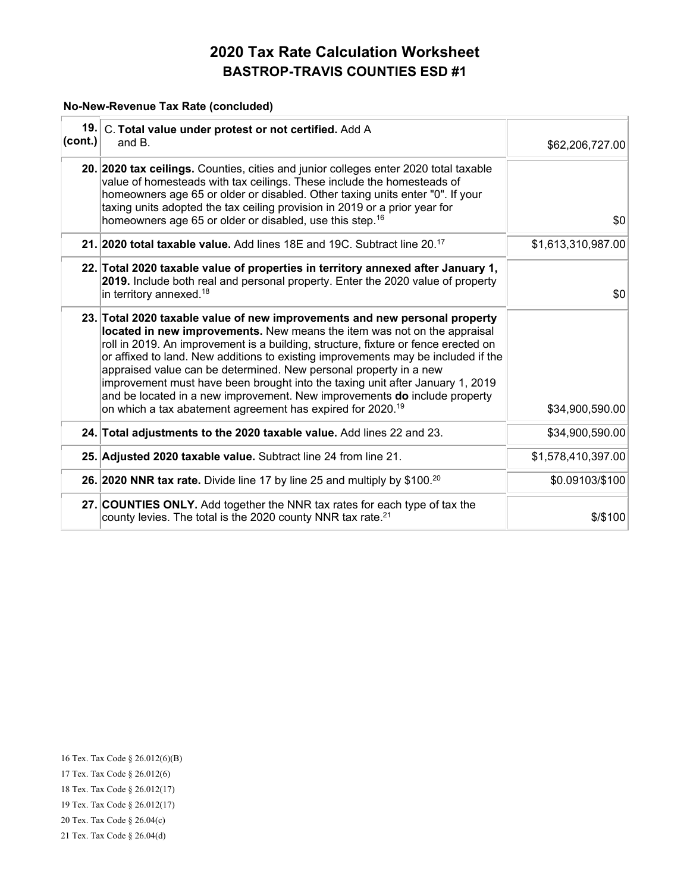#### **No-New-Revenue Tax Rate (concluded)**

| (cont.) | 19. C. Total value under protest or not certified. Add A<br>and $B1$                                                                                                                                                                                                                                                                                                                                                                                                                                                                                                                                                                           | \$62,206,727.00    |
|---------|------------------------------------------------------------------------------------------------------------------------------------------------------------------------------------------------------------------------------------------------------------------------------------------------------------------------------------------------------------------------------------------------------------------------------------------------------------------------------------------------------------------------------------------------------------------------------------------------------------------------------------------------|--------------------|
|         | 20. 2020 tax ceilings. Counties, cities and junior colleges enter 2020 total taxable<br>value of homesteads with tax ceilings. These include the homesteads of<br>homeowners age 65 or older or disabled. Other taxing units enter "0". If your<br>taxing units adopted the tax ceiling provision in 2019 or a prior year for<br>homeowners age 65 or older or disabled, use this step. <sup>16</sup>                                                                                                                                                                                                                                          | \$0                |
|         | 21. 2020 total taxable value. Add lines 18E and 19C. Subtract line 20. <sup>17</sup>                                                                                                                                                                                                                                                                                                                                                                                                                                                                                                                                                           | \$1,613,310,987.00 |
|         | 22. Total 2020 taxable value of properties in territory annexed after January 1,<br>2019. Include both real and personal property. Enter the 2020 value of property<br>in territory annexed. <sup>18</sup>                                                                                                                                                                                                                                                                                                                                                                                                                                     | \$0                |
|         | 23. Total 2020 taxable value of new improvements and new personal property<br>located in new improvements. New means the item was not on the appraisal<br>roll in 2019. An improvement is a building, structure, fixture or fence erected on<br>or affixed to land. New additions to existing improvements may be included if the<br>appraised value can be determined. New personal property in a new<br>improvement must have been brought into the taxing unit after January 1, 2019<br>and be located in a new improvement. New improvements do include property<br>on which a tax abatement agreement has expired for 2020. <sup>19</sup> | \$34,900,590.00    |
|         | 24. Total adjustments to the 2020 taxable value. Add lines 22 and 23.                                                                                                                                                                                                                                                                                                                                                                                                                                                                                                                                                                          | \$34,900,590.00    |
|         | 25. Adjusted 2020 taxable value. Subtract line 24 from line 21.                                                                                                                                                                                                                                                                                                                                                                                                                                                                                                                                                                                | \$1,578,410,397.00 |
|         | 26. 2020 NNR tax rate. Divide line 17 by line 25 and multiply by \$100. <sup>20</sup>                                                                                                                                                                                                                                                                                                                                                                                                                                                                                                                                                          | \$0.09103/\$100    |
|         | 27. COUNTIES ONLY. Add together the NNR tax rates for each type of tax the<br>county levies. The total is the 2020 county NNR tax rate. $^{21}$                                                                                                                                                                                                                                                                                                                                                                                                                                                                                                | \$/\$100           |

16 Tex. Tax Code § 26.012(6)(B) 17 Tex. Tax Code § 26.012(6) 18 Tex. Tax Code § 26.012(17) 19 Tex. Tax Code § 26.012(17) 20 Tex. Tax Code § 26.04(c) 21 Tex. Tax Code § 26.04(d)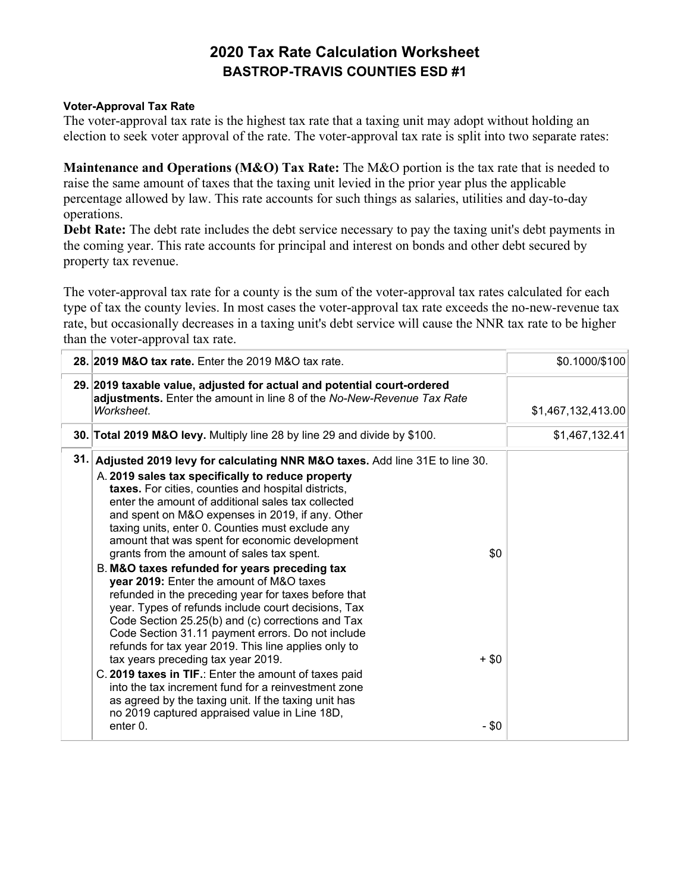#### **Voter-Approval Tax Rate**

The voter-approval tax rate is the highest tax rate that a taxing unit may adopt without holding an election to seek voter approval of the rate. The voter-approval tax rate is split into two separate rates:

**Maintenance and Operations (M&O) Tax Rate:** The M&O portion is the tax rate that is needed to raise the same amount of taxes that the taxing unit levied in the prior year plus the applicable percentage allowed by law. This rate accounts for such things as salaries, utilities and day-to-day operations.

**Debt Rate:** The debt rate includes the debt service necessary to pay the taxing unit's debt payments in the coming year. This rate accounts for principal and interest on bonds and other debt secured by property tax revenue.

The voter-approval tax rate for a county is the sum of the voter-approval tax rates calculated for each type of tax the county levies. In most cases the voter-approval tax rate exceeds the no-new-revenue tax rate, but occasionally decreases in a taxing unit's debt service will cause the NNR tax rate to be higher than the voter-approval tax rate.

|     | 28. 2019 M&O tax rate. Enter the $2019$ M&O tax rate.                                                                                                                                                                                                                                                                                                                                                                                                                                                                                                                                                                                                                                                                                                                                                                                                                                                                                                                                                                                                                                                                                    | \$0.1000/\$100     |
|-----|------------------------------------------------------------------------------------------------------------------------------------------------------------------------------------------------------------------------------------------------------------------------------------------------------------------------------------------------------------------------------------------------------------------------------------------------------------------------------------------------------------------------------------------------------------------------------------------------------------------------------------------------------------------------------------------------------------------------------------------------------------------------------------------------------------------------------------------------------------------------------------------------------------------------------------------------------------------------------------------------------------------------------------------------------------------------------------------------------------------------------------------|--------------------|
|     | 29. 2019 taxable value, adjusted for actual and potential court-ordered<br>adjustments. Enter the amount in line 8 of the No-New-Revenue Tax Rate<br>Worksheet.                                                                                                                                                                                                                                                                                                                                                                                                                                                                                                                                                                                                                                                                                                                                                                                                                                                                                                                                                                          | \$1,467,132,413.00 |
|     | 30. Total 2019 M&O levy. Multiply line 28 by line 29 and divide by \$100.                                                                                                                                                                                                                                                                                                                                                                                                                                                                                                                                                                                                                                                                                                                                                                                                                                                                                                                                                                                                                                                                | \$1,467,132.41     |
| 31. | Adjusted 2019 levy for calculating NNR M&O taxes. Add line 31E to line 30.<br>A. 2019 sales tax specifically to reduce property<br>taxes. For cities, counties and hospital districts,<br>enter the amount of additional sales tax collected<br>and spent on M&O expenses in 2019, if any. Other<br>taxing units, enter 0. Counties must exclude any<br>amount that was spent for economic development<br>grants from the amount of sales tax spent.<br>\$0<br>B. M&O taxes refunded for years preceding tax<br>year 2019: Enter the amount of M&O taxes<br>refunded in the preceding year for taxes before that<br>year. Types of refunds include court decisions, Tax<br>Code Section 25.25(b) and (c) corrections and Tax<br>Code Section 31.11 payment errors. Do not include<br>refunds for tax year 2019. This line applies only to<br>tax years preceding tax year 2019.<br>+ \$0<br>C. 2019 taxes in TIF.: Enter the amount of taxes paid<br>into the tax increment fund for a reinvestment zone<br>as agreed by the taxing unit. If the taxing unit has<br>no 2019 captured appraised value in Line 18D,<br>enter 0.<br>$-$ \$0 |                    |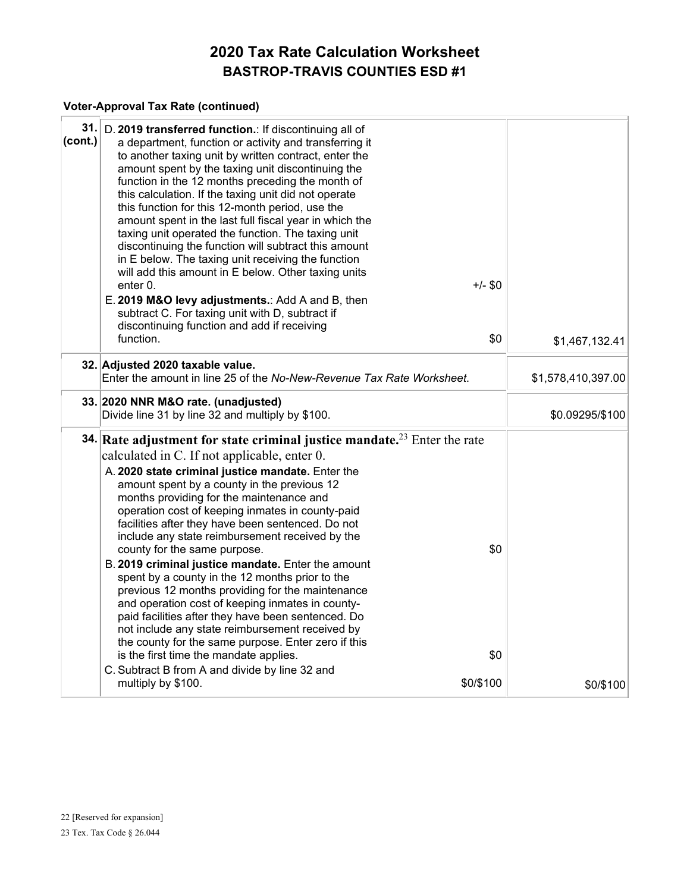## **Voter-Approval Tax Rate (continued)**

| 31.<br>(cont.) | D. 2019 transferred function.: If discontinuing all of<br>a department, function or activity and transferring it<br>to another taxing unit by written contract, enter the<br>amount spent by the taxing unit discontinuing the<br>function in the 12 months preceding the month of<br>this calculation. If the taxing unit did not operate<br>this function for this 12-month period, use the<br>amount spent in the last full fiscal year in which the<br>taxing unit operated the function. The taxing unit<br>discontinuing the function will subtract this amount<br>in E below. The taxing unit receiving the function<br>will add this amount in E below. Other taxing units<br>enter 0.<br>E. 2019 M&O levy adjustments.: Add A and B, then<br>subtract C. For taxing unit with D, subtract if<br>discontinuing function and add if receiving<br>function.                                                                                                                          | $+/-$ \$0<br>\$0        |                    |
|----------------|--------------------------------------------------------------------------------------------------------------------------------------------------------------------------------------------------------------------------------------------------------------------------------------------------------------------------------------------------------------------------------------------------------------------------------------------------------------------------------------------------------------------------------------------------------------------------------------------------------------------------------------------------------------------------------------------------------------------------------------------------------------------------------------------------------------------------------------------------------------------------------------------------------------------------------------------------------------------------------------------|-------------------------|--------------------|
|                |                                                                                                                                                                                                                                                                                                                                                                                                                                                                                                                                                                                                                                                                                                                                                                                                                                                                                                                                                                                            |                         | \$1,467,132.41     |
|                | 32. Adjusted 2020 taxable value.<br>Enter the amount in line 25 of the No-New-Revenue Tax Rate Worksheet.                                                                                                                                                                                                                                                                                                                                                                                                                                                                                                                                                                                                                                                                                                                                                                                                                                                                                  |                         | \$1,578,410,397.00 |
|                | 33. 2020 NNR M&O rate. (unadjusted)<br>Divide line 31 by line 32 and multiply by \$100.                                                                                                                                                                                                                                                                                                                                                                                                                                                                                                                                                                                                                                                                                                                                                                                                                                                                                                    |                         | \$0.09295/\$100    |
|                | <b>34.</b> Rate adjustment for state criminal justice mandate. <sup>23</sup> Enter the rate<br>calculated in C. If not applicable, enter 0.<br>A. 2020 state criminal justice mandate. Enter the<br>amount spent by a county in the previous 12<br>months providing for the maintenance and<br>operation cost of keeping inmates in county-paid<br>facilities after they have been sentenced. Do not<br>include any state reimbursement received by the<br>county for the same purpose.<br>B. 2019 criminal justice mandate. Enter the amount<br>spent by a county in the 12 months prior to the<br>previous 12 months providing for the maintenance<br>and operation cost of keeping inmates in county-<br>paid facilities after they have been sentenced. Do<br>not include any state reimbursement received by<br>the county for the same purpose. Enter zero if this<br>is the first time the mandate applies.<br>C. Subtract B from A and divide by line 32 and<br>multiply by \$100. | \$0<br>\$0<br>\$0/\$100 | \$0/\$100          |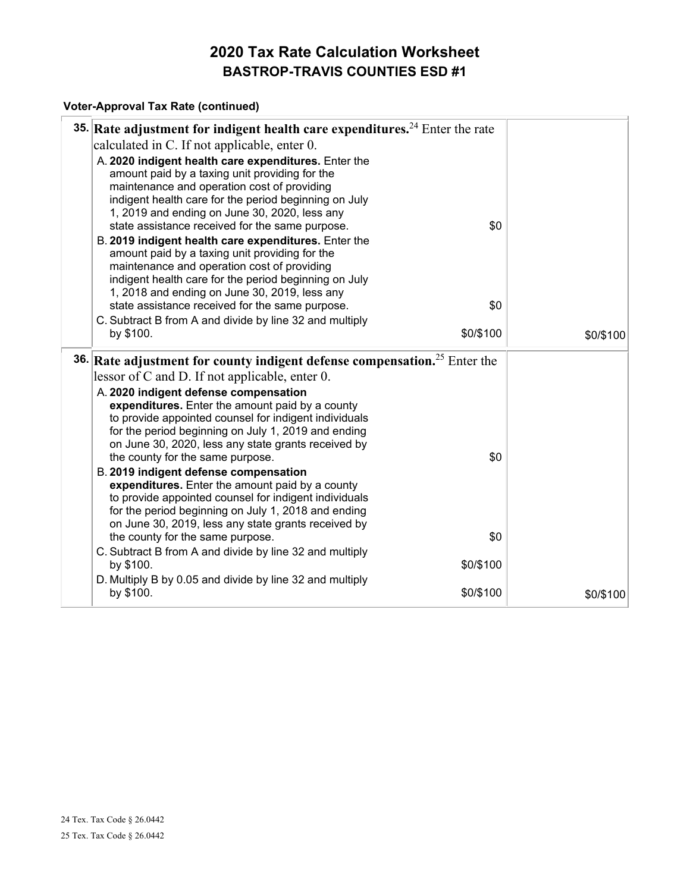## **Voter-Approval Tax Rate (continued)**

| <b>35.</b> Rate adjustment for indigent health care expenditures. <sup>24</sup> Enter the rate                                                                                                                                                                  |           |           |
|-----------------------------------------------------------------------------------------------------------------------------------------------------------------------------------------------------------------------------------------------------------------|-----------|-----------|
| calculated in C. If not applicable, enter 0.                                                                                                                                                                                                                    |           |           |
| A. 2020 indigent health care expenditures. Enter the<br>amount paid by a taxing unit providing for the<br>maintenance and operation cost of providing<br>indigent health care for the period beginning on July<br>1, 2019 and ending on June 30, 2020, less any |           |           |
| state assistance received for the same purpose.                                                                                                                                                                                                                 | \$0       |           |
| B. 2019 indigent health care expenditures. Enter the<br>amount paid by a taxing unit providing for the<br>maintenance and operation cost of providing<br>indigent health care for the period beginning on July<br>1, 2018 and ending on June 30, 2019, less any |           |           |
| state assistance received for the same purpose.                                                                                                                                                                                                                 | \$0       |           |
| C. Subtract B from A and divide by line 32 and multiply<br>by \$100.                                                                                                                                                                                            | \$0/\$100 | \$0/\$100 |
|                                                                                                                                                                                                                                                                 |           |           |
| 36. Rate adjustment for county indigent defense compensation. <sup>25</sup> Enter the                                                                                                                                                                           |           |           |
| lessor of C and D. If not applicable, enter 0.                                                                                                                                                                                                                  |           |           |
| A. 2020 indigent defense compensation<br>expenditures. Enter the amount paid by a county<br>to provide appointed counsel for indigent individuals<br>for the period beginning on July 1, 2019 and ending<br>on June 30, 2020, less any state grants received by |           |           |
| the county for the same purpose.                                                                                                                                                                                                                                | \$0       |           |
| B. 2019 indigent defense compensation<br>expenditures. Enter the amount paid by a county<br>to provide appointed counsel for indigent individuals<br>for the period beginning on July 1, 2018 and ending<br>on June 30, 2019, less any state grants received by |           |           |
| the county for the same purpose.                                                                                                                                                                                                                                | \$0       |           |
| C. Subtract B from A and divide by line 32 and multiply<br>by \$100.                                                                                                                                                                                            | \$0/\$100 |           |
| D. Multiply B by 0.05 and divide by line 32 and multiply<br>by \$100.                                                                                                                                                                                           | \$0/\$100 | \$0/\$100 |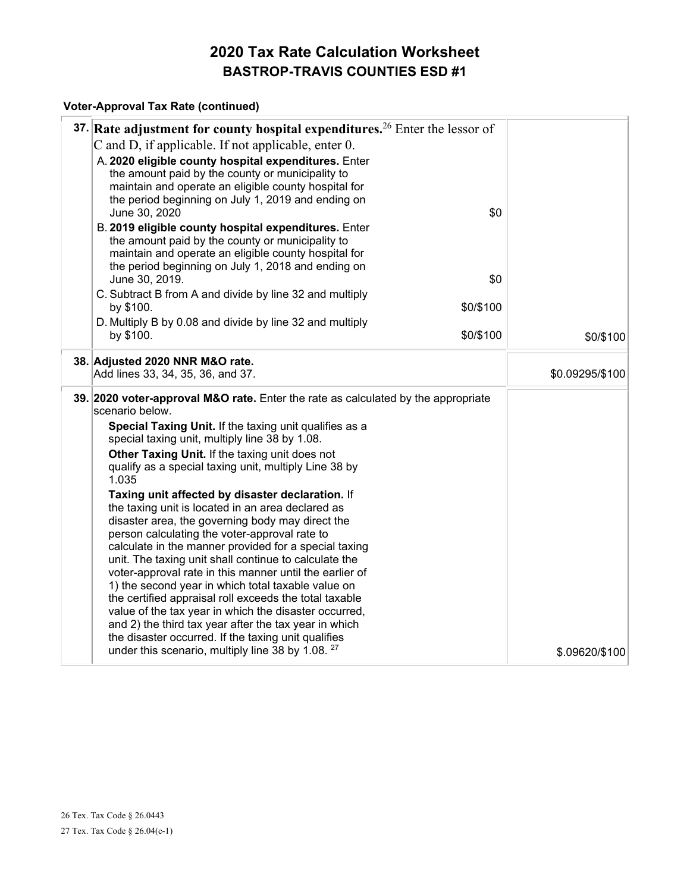#### **Voter-Approval Tax Rate (continued)**

| 37. Rate adjustment for county hospital expenditures. <sup>26</sup> Enter the lessor of                        |                 |
|----------------------------------------------------------------------------------------------------------------|-----------------|
| C and D, if applicable. If not applicable, enter 0.                                                            |                 |
| A. 2020 eligible county hospital expenditures. Enter                                                           |                 |
| the amount paid by the county or municipality to                                                               |                 |
| maintain and operate an eligible county hospital for                                                           |                 |
| the period beginning on July 1, 2019 and ending on                                                             |                 |
| \$0<br>June 30, 2020                                                                                           |                 |
| B. 2019 eligible county hospital expenditures. Enter                                                           |                 |
| the amount paid by the county or municipality to                                                               |                 |
| maintain and operate an eligible county hospital for                                                           |                 |
| the period beginning on July 1, 2018 and ending on                                                             |                 |
| June 30, 2019.<br>\$0                                                                                          |                 |
| C. Subtract B from A and divide by line 32 and multiply                                                        |                 |
| \$0/\$100<br>by \$100.                                                                                         |                 |
| D. Multiply B by 0.08 and divide by line 32 and multiply                                                       |                 |
| \$0/\$100<br>by \$100.                                                                                         | \$0/\$100       |
| 38. Adjusted 2020 NNR M&O rate.                                                                                |                 |
| Add lines 33, 34, 35, 36, and 37.                                                                              | \$0.09295/\$100 |
| 39. 2020 voter-approval M&O rate. Enter the rate as calculated by the appropriate<br>scenario below.           |                 |
| Special Taxing Unit. If the taxing unit qualifies as a                                                         |                 |
| special taxing unit, multiply line 38 by 1.08.                                                                 |                 |
| Other Taxing Unit. If the taxing unit does not                                                                 |                 |
| qualify as a special taxing unit, multiply Line 38 by                                                          |                 |
| 1.035                                                                                                          |                 |
| Taxing unit affected by disaster declaration. If                                                               |                 |
| the taxing unit is located in an area declared as                                                              |                 |
| disaster area, the governing body may direct the                                                               |                 |
| person calculating the voter-approval rate to                                                                  |                 |
| calculate in the manner provided for a special taxing                                                          |                 |
| unit. The taxing unit shall continue to calculate the                                                          |                 |
| voter-approval rate in this manner until the earlier of                                                        |                 |
| 1) the second year in which total taxable value on                                                             |                 |
| the certified appraisal roll exceeds the total taxable                                                         |                 |
| value of the tax year in which the disaster occurred,<br>and 2) the third tax year after the tax year in which |                 |
| the disaster occurred. If the taxing unit qualifies                                                            |                 |
| under this scenario, multiply line 38 by 1.08. <sup>27</sup>                                                   |                 |
|                                                                                                                | \$.09620/\$100  |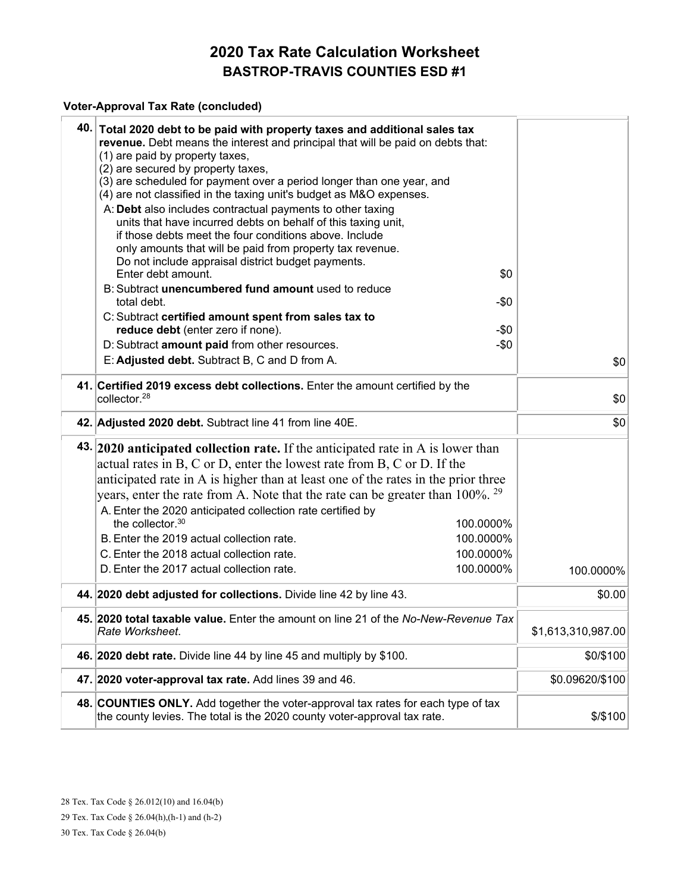#### **Voter-Approval Tax Rate (concluded)**

| 40. Total 2020 debt to be paid with property taxes and additional sales tax<br>revenue. Debt means the interest and principal that will be paid on debts that:<br>(1) are paid by property taxes,<br>(2) are secured by property taxes,<br>(3) are scheduled for payment over a period longer than one year, and<br>(4) are not classified in the taxing unit's budget as M&O expenses.<br>A: Debt also includes contractual payments to other taxing<br>units that have incurred debts on behalf of this taxing unit,<br>if those debts meet the four conditions above. Include<br>only amounts that will be paid from property tax revenue.<br>Do not include appraisal district budget payments. |                    |
|-----------------------------------------------------------------------------------------------------------------------------------------------------------------------------------------------------------------------------------------------------------------------------------------------------------------------------------------------------------------------------------------------------------------------------------------------------------------------------------------------------------------------------------------------------------------------------------------------------------------------------------------------------------------------------------------------------|--------------------|
| Enter debt amount.<br>\$0                                                                                                                                                                                                                                                                                                                                                                                                                                                                                                                                                                                                                                                                           |                    |
| B: Subtract unencumbered fund amount used to reduce                                                                                                                                                                                                                                                                                                                                                                                                                                                                                                                                                                                                                                                 |                    |
| total debt.<br>$-50$                                                                                                                                                                                                                                                                                                                                                                                                                                                                                                                                                                                                                                                                                |                    |
| C: Subtract certified amount spent from sales tax to<br>reduce debt (enter zero if none).<br>-\$0                                                                                                                                                                                                                                                                                                                                                                                                                                                                                                                                                                                                   |                    |
| D: Subtract amount paid from other resources.<br>$-\$0$                                                                                                                                                                                                                                                                                                                                                                                                                                                                                                                                                                                                                                             |                    |
| E: Adjusted debt. Subtract B, C and D from A.                                                                                                                                                                                                                                                                                                                                                                                                                                                                                                                                                                                                                                                       | \$0                |
|                                                                                                                                                                                                                                                                                                                                                                                                                                                                                                                                                                                                                                                                                                     |                    |
| 41. Certified 2019 excess debt collections. Enter the amount certified by the<br>collector. <sup>28</sup>                                                                                                                                                                                                                                                                                                                                                                                                                                                                                                                                                                                           | \$0                |
| 42. Adjusted 2020 debt. Subtract line 41 from line 40E.                                                                                                                                                                                                                                                                                                                                                                                                                                                                                                                                                                                                                                             | \$0                |
| 43. 2020 anticipated collection rate. If the anticipated rate in A is lower than<br>actual rates in B, C or D, enter the lowest rate from B, C or D. If the<br>anticipated rate in A is higher than at least one of the rates in the prior three<br>years, enter the rate from A. Note that the rate can be greater than 100%. <sup>29</sup>                                                                                                                                                                                                                                                                                                                                                        |                    |
| A. Enter the 2020 anticipated collection rate certified by<br>the collector. $30$<br>100.0000%                                                                                                                                                                                                                                                                                                                                                                                                                                                                                                                                                                                                      |                    |
| B. Enter the 2019 actual collection rate.<br>100.0000%                                                                                                                                                                                                                                                                                                                                                                                                                                                                                                                                                                                                                                              |                    |
| C. Enter the 2018 actual collection rate.<br>100.0000%                                                                                                                                                                                                                                                                                                                                                                                                                                                                                                                                                                                                                                              |                    |
| D. Enter the 2017 actual collection rate.<br>100.0000%                                                                                                                                                                                                                                                                                                                                                                                                                                                                                                                                                                                                                                              | 100.0000%          |
| 44. 2020 debt adjusted for collections. Divide line 42 by line 43.                                                                                                                                                                                                                                                                                                                                                                                                                                                                                                                                                                                                                                  | \$0.00             |
| 45. 2020 total taxable value. Enter the amount on line 21 of the No-New-Revenue Tax<br>Rate Worksheet.                                                                                                                                                                                                                                                                                                                                                                                                                                                                                                                                                                                              | \$1,613,310,987.00 |
| 46. 2020 debt rate. Divide line 44 by line 45 and multiply by \$100.                                                                                                                                                                                                                                                                                                                                                                                                                                                                                                                                                                                                                                | \$0/\$100          |
| 47. 2020 voter-approval tax rate. Add lines 39 and 46.                                                                                                                                                                                                                                                                                                                                                                                                                                                                                                                                                                                                                                              | \$0.09620/\$100    |
| 48. COUNTIES ONLY. Add together the voter-approval tax rates for each type of tax<br>the county levies. The total is the 2020 county voter-approval tax rate.                                                                                                                                                                                                                                                                                                                                                                                                                                                                                                                                       | \$/\$100           |